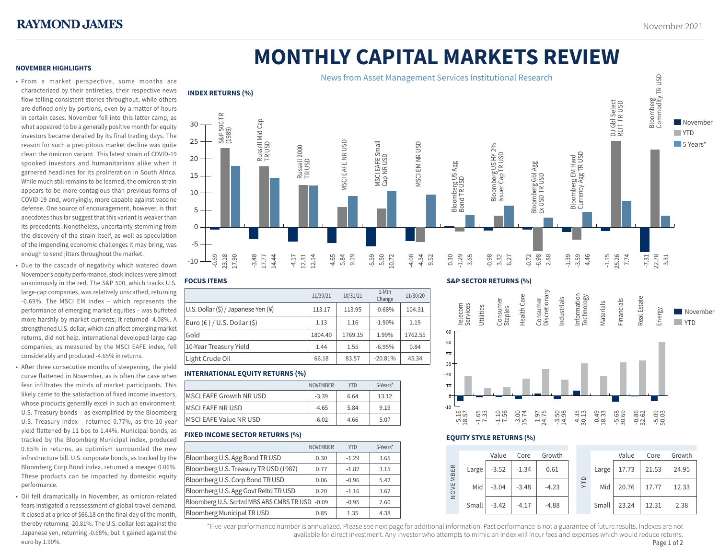**NOVEMBER HIGHLIGHTS**

# **MONTHLY CAPITAL MARKETS REVIEW**

# • From a market perspective, some months are characterized by their entireties, their respective news flow telling consistent stories throughout, while others are defined only by portions, even by a matter of hours in certain cases. November fell into this latter camp, as what appeared to be a generally positive month for equity investors became derailed by its final trading days. The reason for such a precipitous market decline was quite clear: the omicron variant. This latest strain of COVID-19 spooked investors and humanitarians alike when it garnered headlines for its proliferation in South Africa. While much still remains to be learned, the omicron strain appears to be more contagious than previous forms of COVID-19 and, worryingly, more capable against vaccine defense. One source of encouragement, however, is that anecdotes thus far suggest that this variant is weaker than its precedents. Nonetheless, uncertainty stemming from the discovery of the strain itself, as well as speculation of the impending economic challenges it may bring, was enough to send jitters throughout the market.

- Due to the cascade of negativity which watered down November's equity performance, stock indices were almost unanimously in the red. The S&P 500, which tracks U.S. large-cap companies, was relatively unscathed, returning -0.69%. The MSCI EM index – which represents the performance of emerging market equities – was buffeted more harshly by market currents; it returned -4.08%. A strengthened U.S. dollar, which can affect emerging market returns, did not help. International developed large-cap companies, as measured by the MSCI EAFE index, fell considerably and produced -4.65% in returns.
- After three consecutive months of steepening, the yield curve flattened in November, as is often the case when fear infiltrates the minds of market participants. This likely came to the satisfaction of fixed income investors, whose products generally excel in such an environment. U.S. Treasury bonds – as exemplified by the Bloomberg U.S. Treasury index – returned 0.77%, as the 10-year yield flattened by 11 bps to 1.44%. Municipal bonds, as tracked by the Bloomberg Municipal index, produced 0.85% in returns, as optimism surrounded the new infrastructure bill. U.S. corporate bonds, as tracked by the Bloomberg Corp Bond index, returned a meager 0.06%. These products can be impacted by domestic equity performance.
- Oil fell dramatically in November, as omicron-related fears instigated a reassessment of global travel demand. It closed at a price of \$66.18 on the final day of the month, thereby returning -20.81%. The U.S. dollar lost against the Japanese yen, returning -0.68%; but it gained against the euro by 1.90%.



## **FOCUS ITEMS**

|                                     | 11/30/21 | 10/31/21 | 1-Mth<br>Change | 11/30/20 |
|-------------------------------------|----------|----------|-----------------|----------|
| U.S. Dollar (\$) / Japanese Yen (¥) | 113.17   | 113.95   | $-0.68%$        | 104.31   |
| Euro $(€) / U.S.$ Dollar $(§)$      | 1.13     | 1.16     | $-1.90%$        | 1.19     |
| Gold                                | 1804.40  | 1769.15  | 1.99%           | 1762.55  |
| 10-Year Treasury Yield              | 1.44     | 1.55     | $-6.95%$        | 0.84     |
| Light Crude Oil                     | 66.18    | 83.57    | $-20.81%$       | 45.34    |

# **INTERNATIONAL EQUITY RETURNS (%)**

|                               | <b>NOVEMBER</b> | <b>YTD</b> | 5-Years* |
|-------------------------------|-----------------|------------|----------|
| MSCI EAFE Growth NR USD       | $-3.39$         | 6.64       | 13.12    |
| MSCI EAFE NR USD              | $-4.65$         | 5.84       | 9.19     |
| <b>MSCI EAFE Value NR USD</b> | $-6.02$         | 4.66       | 5.07     |
|                               |                 |            |          |

# **FIXED INCOME SECTOR RETURNS (%)**

|                                           | <b>NOVEMBER</b> | <b>YTD</b> | 5-Years* |
|-------------------------------------------|-----------------|------------|----------|
| Bloomberg U.S. Agg Bond TR USD            | 0.30            | $-1.29$    | 3.65     |
| Bloomberg U.S. Treasury TR USD (1987)     | 0.77            | $-1.82$    | 3.15     |
| Bloomberg U.S. Corp Bond TR USD           | 0.06            | $-0.96$    | 5.42     |
| Bloomberg U.S. Agg Govt Reltd TR USD      | 0.20            | $-1.16$    | 3.62     |
| Bloomberg U.S. Scrtzd MBS ABS CMBS TR USD | $-0.09$         | $-0.95$    | 2.60     |
| <b>Bloomberg Municipal TR USD</b>         | 0.85            | 1.35       | 4.38     |

### **S&P SECTOR RETURNS (%)**





# **EQUITY STYLE RETURNS (%)**



\*Five-year performance number is annualized. Please see next page for additional information. Past performance is not a guarantee of future results. Indexes are not 1 available for direct investment. Any investor who attempts to mimic an index will incur fees and expenses which would reduce returns.